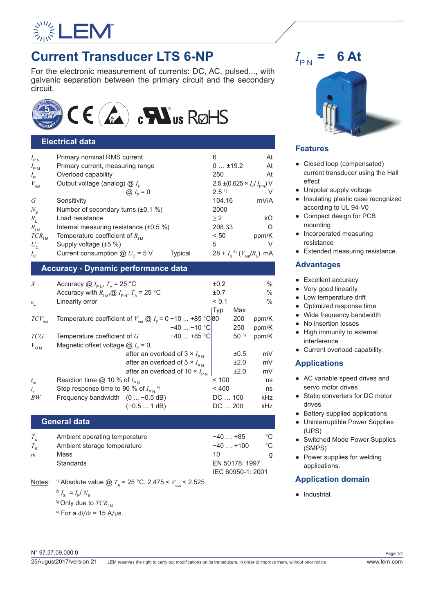

# **Current Transducer LTS 6-NP**

For the electronic measurement of currents: DC, AC, pulsed..., with galvanic separation between the primary circuit and the secondary circuit.



# **Electrical data**

| $I_{\rm PN}$        | Primary nominal RMS current                         | At<br>6                                  |
|---------------------|-----------------------------------------------------|------------------------------------------|
| $I_{\rm PM}$        | Primary current, measuring range                    | $0$ ±19.2<br>At                          |
| $I_{\rm p}$         | Overload capability                                 | 250<br>At                                |
| $V_{\text{out}}$    | Output voltage (analog) $@I_{\rho}$                 | $2.5 \pm (0.625 \times I_p/I_{pN})$ V    |
|                     | @ $I_{\rm p} = 0$                                   | 2.5 <sup>1</sup>                         |
| G                   | Sensitivity                                         | 104.16<br>mV/A                           |
| $N_{\rm s}$         | Number of secondary turns $(\pm 0.1\%)$             | 2000                                     |
| $R_{\rm I}$         | Load resistance                                     | $k\Omega$<br>>2                          |
| $R_{\text{IM}}$     | Internal measuring resistance (±0.5 %)              | 208.33<br>Ω                              |
| $TCR$ <sub>IM</sub> | Temperature coefficient of $R_{\text{IM}}$          | < 50<br>ppm/K                            |
| $U_{\rm c}$         | Supply voltage (±5 %)                               | 5<br>V                                   |
| $I_{c}$             | Current consumption $@ U_c = 5 V$<br><b>Typical</b> | $28 + I_s^{2}$ $(V_{\text{out}}/R_1)$ mA |
|                     |                                                     |                                          |

# **Accuracy - Dynamic performance data**

| X                     | Accuracy $@I_{\text{PM}}$ , $T_{\text{A}}$ = 25 °C                                                          |                                                  |                | ±0.2             |          | $\frac{0}{0}$ |
|-----------------------|-------------------------------------------------------------------------------------------------------------|--------------------------------------------------|----------------|------------------|----------|---------------|
|                       | Accuracy with $R_{\text{IM}}$ , $\omega I_{\text{PN}}$ , $T_{\text{A}}$ = 25 °C                             |                                                  |                | ±0.7             |          | $\frac{0}{0}$ |
| $\varepsilon_{\rm L}$ | Linearity error                                                                                             |                                                  |                | < 0.1            |          | $\frac{0}{0}$ |
|                       |                                                                                                             |                                                  |                | <sub>I</sub> Typ | Max      |               |
| $TCV_{\rm out}$       | Temperature coefficient of $V_{\text{out}} \textcircled{a} I_{\text{p}} = 0 - 10 \dots + 85 \text{ °C}  80$ |                                                  |                |                  | 200      | ppm/K         |
|                       |                                                                                                             |                                                  | $-40$ $-10$ °C |                  | 250      | ppm/K         |
| <b>TCG</b>            | Temperature coefficient of $G$                                                                              |                                                  | $-40$ +85 °C   |                  | $50^{3}$ | ppm/K         |
| $V_{\text{OM}}$       | Magnetic offset voltage $@I_{p} = 0$ ,                                                                      |                                                  |                |                  |          |               |
|                       |                                                                                                             | after an overload of $3 \times I_{\text{PN}}$    |                |                  | ±0.5     | mV            |
|                       |                                                                                                             | after an overload of 5 $\times$ $I_{\text{PN}}$  |                |                  | ±2.0     | mV            |
|                       |                                                                                                             | after an overload of 10 $\times$ $I_{\text{pN}}$ |                |                  | ±2.0     | mV            |
| $t_{\rm ra}$          | Reaction time @ 10 % of $I_{\text{PN}}$                                                                     |                                                  |                | ~100             |          | ns            |
| $t_{\rm r}$           | Step response time to 90 % of $I_{pN}$ <sup>4)</sup>                                                        |                                                  |                | < 400            |          | ns            |
| BW                    | Frequency bandwidth $(0  -0.5 dB)$                                                                          |                                                  |                | $DC \dots 100$   |          | kHz           |
|                       |                                                                                                             | $(-0.5 1 dB)$                                    |                | DC  200          |          | kHz           |

### **General data**

| $T_{\rm A}$ | Ambient operating temperature | $-40+85$          | °C |
|-------------|-------------------------------|-------------------|----|
| $T_{\rm c}$ | Ambient storage temperature   | $-40$ +100        | °C |
| m           | Mass                          | 10                | g  |
|             | <b>Standards</b>              | EN 50178: 1997    |    |
|             |                               | IEC 60950-1: 2001 |    |
|             |                               |                   |    |

<u>Notes</u>: <sup>1)</sup> Absolute value @  $T_A = 25 \degree \text{C}$ , 2.475 <  $V_{\text{out}}$  < 2.525

 $^{2)} I_{\rm s} = I_{\rm p} / N_{\rm s}$ 

<sup>3)</sup> Only due to  $TCR$ <sub>IM</sub>

4) For a d*i*/d*t =* 15 A/μs.

#### $I_{PN}$  = **= 6 At**



# **Features**

- Closed loop (compensated) current transducer using the Hall effect
- Unipolar supply voltage
- Insulating plastic case recognized according to UL 94-V0
- Compact design for PCB mounting
- Incorporated measuring resistance
- Extended measuring resistance.

# **Advantages**

- Excellent accuracy
- Very good linearity
- Low temperature drift
- Optimized response time
- Wide frequency bandwidth
- No insertion losses
- High immunity to external interference
- Current overload capability.

# **Applications**

- AC variable speed drives and servo motor drives
- Static converters for DC motor drives
- Battery supplied applications
- Uninterruptible Power Supplies (UPS)
- Switched Mode Power Supplies (SMPS)
- Power supplies for welding applications.

# **Application domain**

● Industrial.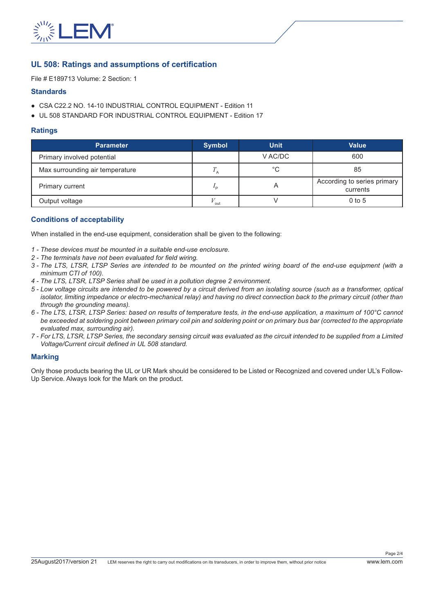

# **UL 508: Ratings and assumptions of certification**

File # E189713 Volume: 2 Section: 1

#### **Standards**

- CSA C22.2 NO. 14-10 INDUSTRIAL CONTROL EQUIPMENT Edition 11
- UL 508 STANDARD FOR INDUSTRIAL CONTROL EQUIPMENT Edition 17

#### **Ratings**

| <b>Parameter</b>                | <b>Symbol</b> | <b>Unit</b> | <b>Value</b>                            |
|---------------------------------|---------------|-------------|-----------------------------------------|
| Primary involved potential      |               | V AC/DC     | 600                                     |
| Max surrounding air temperature |               | °C          | 85                                      |
| Primary current                 | ם י           |             | According to series primary<br>currents |
| Output voltage                  | out           |             | $0$ to 5                                |

# **Conditions of acceptability**

When installed in the end-use equipment, consideration shall be given to the following:

- *1 These devices must be mounted in a suitable end-use enclosure.*
- *2 The terminals have not been evaluated for field wiring.*
- *3 The LTS, LTSR, LTSP Series are intended to be mounted on the printed wiring board of the end-use equipment (with a minimum CTI of 100).*
- *4 The LTS, LTSR, LTSP Series shall be used in a pollution degree 2 environment.*
- *5 Low voltage circuits are intended to be powered by a circuit derived from an isolating source (such as a transformer, optical isolator, limiting impedance or electro-mechanical relay) and having no direct connection back to the primary circuit (other than through the grounding means).*
- *6 The LTS, LTSR, LTSP Series: based on results of temperature tests, in the end-use application, a maximum of 100°C cannot be exceeded at soldering point between primary coil pin and soldering point or on primary bus bar (corrected to the appropriate evaluated max, surrounding air).*
- *7 For LTS, LTSR, LTSP Series, the secondary sensing circuit was evaluated as the circuit intended to be supplied from a Limited Voltage/Current circuit defined in UL 508 standard.*

#### **Marking**

Only those products bearing the UL or UR Mark should be considered to be Listed or Recognized and covered under UL's Follow-Up Service. Always look for the Mark on the product.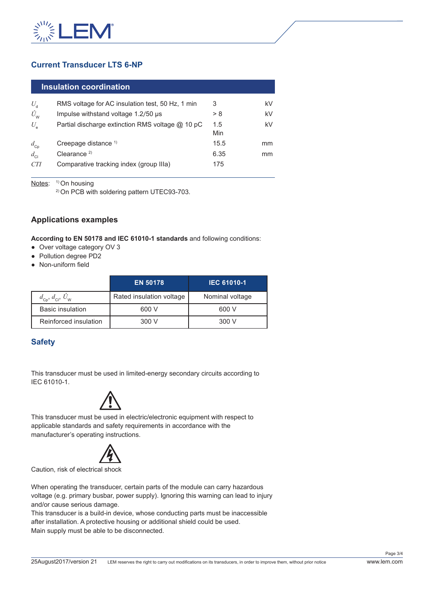

# **Current Transducer LTS 6-NP**

#### **Insulation coordination**

| RMS voltage for AC insulation test, 50 Hz, 1 min | 3    | kV |
|--------------------------------------------------|------|----|
| Impulse withstand voltage 1.2/50 us              | > 8  | kV |
| Partial discharge extinction RMS voltage @ 10 pC | 1.5  | kV |
|                                                  | Min  |    |
| Creepage distance <sup>1)</sup>                  | 15.5 | mm |
| Clearance $2$                                    | 6.35 | mm |
| Comparative tracking index (group IIIa)          | 175  |    |
|                                                  |      |    |

Notes: <sup>1)</sup> On housing

2) On PCB with soldering pattern UTEC93-703.

# **Applications examples**

**According to EN 50178 and IEC 61010-1 standards** and following conditions:

- Over voltage category OV 3
- Pollution degree PD2
- Non-uniform field

|                                                          | <b>EN 50178</b>          | <b>IEC 61010-1</b> |
|----------------------------------------------------------|--------------------------|--------------------|
| $d_{\text{Cp}}$ , $d_{\text{Cl}}$ , $\hat{U}_{\text{W}}$ | Rated insulation voltage | Nominal voltage    |
| <b>Basic insulation</b>                                  | 600 V                    | 600 V              |
| Reinforced insulation                                    | 300 V                    | 300 V              |

# **Safety**

This transducer must be used in limited-energy secondary circuits according to IEC 61010-1.



This transducer must be used in electric/electronic equipment with respect to applicable standards and safety requirements in accordance with the manufacturer's operating instructions.



Caution, risk of electrical shock

When operating the transducer, certain parts of the module can carry hazardous voltage (e.g. primary busbar, power supply). Ignoring this warning can lead to injury and/or cause serious damage.

This transducer is a build-in device, whose conducting parts must be inaccessible after installation. A protective housing or additional shield could be used. Main supply must be able to be disconnected.